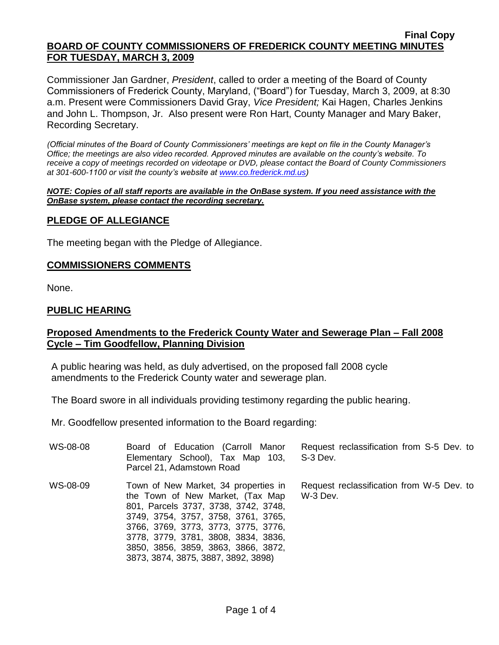#### **Final Copy BOARD OF COUNTY COMMISSIONERS OF FREDERICK COUNTY MEETING MINUTES FOR TUESDAY, MARCH 3, 2009**

Commissioner Jan Gardner, *President*, called to order a meeting of the Board of County Commissioners of Frederick County, Maryland, ("Board") for Tuesday, March 3, 2009, at 8:30 a.m. Present were Commissioners David Gray, *Vice President;* Kai Hagen, Charles Jenkins and John L. Thompson, Jr. Also present were Ron Hart, County Manager and Mary Baker, Recording Secretary.

*(Official minutes of the Board of County Commissioners' meetings are kept on file in the County Manager's Office; the meetings are also video recorded. Approved minutes are available on the county's website. To receive a copy of meetings recorded on videotape or DVD, please contact the Board of County Commissioners at 301-600-1100 or visit the county's website at [www.co.frederick.md.us\)](http://www.co.frederick.md.us/)*

#### *NOTE: Copies of all staff reports are available in the OnBase system. If you need assistance with the OnBase system, please contact the recording secretary.*

## **PLEDGE OF ALLEGIANCE**

The meeting began with the Pledge of Allegiance.

### **COMMISSIONERS COMMENTS**

None.

### **PUBLIC HEARING**

## **Proposed Amendments to the Frederick County Water and Sewerage Plan – Fall 2008 Cycle – Tim Goodfellow, Planning Division**

A public hearing was held, as duly advertised, on the proposed fall 2008 cycle amendments to the Frederick County water and sewerage plan.

The Board swore in all individuals providing testimony regarding the public hearing.

Mr. Goodfellow presented information to the Board regarding:

| WS-08-08 | Board of Education (Carroll Manor<br>Elementary School), Tax Map 103,<br>Parcel 21, Adamstown Road                                                                                                                                                                                                                  | Request reclassification from S-5 Dev. to<br>S-3 Dev. |
|----------|---------------------------------------------------------------------------------------------------------------------------------------------------------------------------------------------------------------------------------------------------------------------------------------------------------------------|-------------------------------------------------------|
| WS-08-09 | Town of New Market, 34 properties in<br>the Town of New Market, (Tax Map<br>801, Parcels 3737, 3738, 3742, 3748,<br>3749, 3754, 3757, 3758, 3761, 3765,<br>3766, 3769, 3773, 3773, 3775, 3776,<br>3778, 3779, 3781, 3808, 3834, 3836,<br>3850, 3856, 3859, 3863, 3866, 3872,<br>3873, 3874, 3875, 3887, 3892, 3898) | Request reclassification from W-5 Dev. to<br>W-3 Dev. |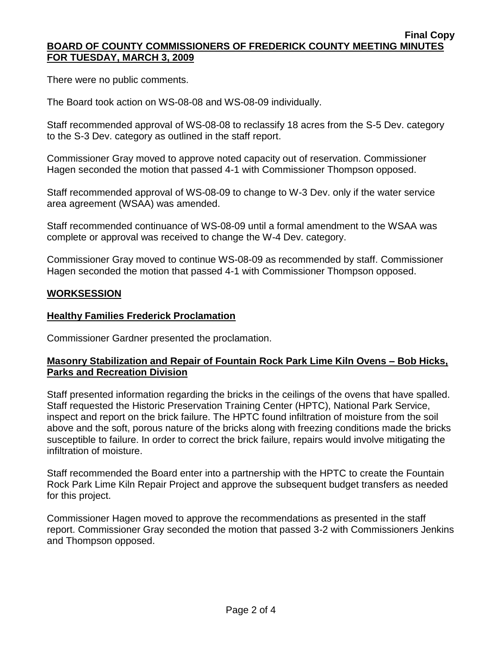#### **Final Copy BOARD OF COUNTY COMMISSIONERS OF FREDERICK COUNTY MEETING MINUTES FOR TUESDAY, MARCH 3, 2009**

There were no public comments.

The Board took action on WS-08-08 and WS-08-09 individually.

Staff recommended approval of WS-08-08 to reclassify 18 acres from the S-5 Dev. category to the S-3 Dev. category as outlined in the staff report.

Commissioner Gray moved to approve noted capacity out of reservation. Commissioner Hagen seconded the motion that passed 4-1 with Commissioner Thompson opposed.

Staff recommended approval of WS-08-09 to change to W-3 Dev. only if the water service area agreement (WSAA) was amended.

Staff recommended continuance of WS-08-09 until a formal amendment to the WSAA was complete or approval was received to change the W-4 Dev. category.

Commissioner Gray moved to continue WS-08-09 as recommended by staff. Commissioner Hagen seconded the motion that passed 4-1 with Commissioner Thompson opposed.

### **WORKSESSION**

### **Healthy Families Frederick Proclamation**

Commissioner Gardner presented the proclamation.

## **Masonry Stabilization and Repair of Fountain Rock Park Lime Kiln Ovens – Bob Hicks, Parks and Recreation Division**

Staff presented information regarding the bricks in the ceilings of the ovens that have spalled. Staff requested the Historic Preservation Training Center (HPTC), National Park Service, inspect and report on the brick failure. The HPTC found infiltration of moisture from the soil above and the soft, porous nature of the bricks along with freezing conditions made the bricks susceptible to failure. In order to correct the brick failure, repairs would involve mitigating the infiltration of moisture.

Staff recommended the Board enter into a partnership with the HPTC to create the Fountain Rock Park Lime Kiln Repair Project and approve the subsequent budget transfers as needed for this project.

Commissioner Hagen moved to approve the recommendations as presented in the staff report. Commissioner Gray seconded the motion that passed 3-2 with Commissioners Jenkins and Thompson opposed.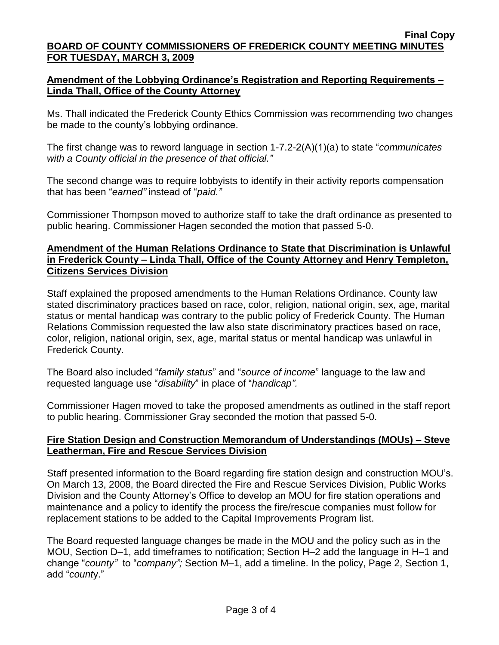# **Amendment of the Lobbying Ordinance's Registration and Reporting Requirements – Linda Thall, Office of the County Attorney**

Ms. Thall indicated the Frederick County Ethics Commission was recommending two changes be made to the county's lobbying ordinance.

The first change was to reword language in section 1-7.2-2(A)(1)(a) to state "*communicates with a County official in the presence of that official."*

The second change was to require lobbyists to identify in their activity reports compensation that has been "*earned"* instead of "*paid."*

Commissioner Thompson moved to authorize staff to take the draft ordinance as presented to public hearing. Commissioner Hagen seconded the motion that passed 5-0.

# **Amendment of the Human Relations Ordinance to State that Discrimination is Unlawful in Frederick County – Linda Thall, Office of the County Attorney and Henry Templeton, Citizens Services Division**

Staff explained the proposed amendments to the Human Relations Ordinance. County law stated discriminatory practices based on race, color, religion, national origin, sex, age, marital status or mental handicap was contrary to the public policy of Frederick County. The Human Relations Commission requested the law also state discriminatory practices based on race, color, religion, national origin, sex, age, marital status or mental handicap was unlawful in Frederick County.

The Board also included "*family status*" and "*source of income*" language to the law and requested language use "*disability*" in place of "*handicap".*

Commissioner Hagen moved to take the proposed amendments as outlined in the staff report to public hearing. Commissioner Gray seconded the motion that passed 5-0.

# **Fire Station Design and Construction Memorandum of Understandings (MOUs) – Steve Leatherman, Fire and Rescue Services Division**

Staff presented information to the Board regarding fire station design and construction MOU's. On March 13, 2008, the Board directed the Fire and Rescue Services Division, Public Works Division and the County Attorney's Office to develop an MOU for fire station operations and maintenance and a policy to identify the process the fire/rescue companies must follow for replacement stations to be added to the Capital Improvements Program list.

The Board requested language changes be made in the MOU and the policy such as in the MOU, Section D–1, add timeframes to notification; Section H–2 add the language in H–1 and change "*county"* to "*company";* Section M–1, add a timeline. In the policy, Page 2, Section 1, add "*count*y."